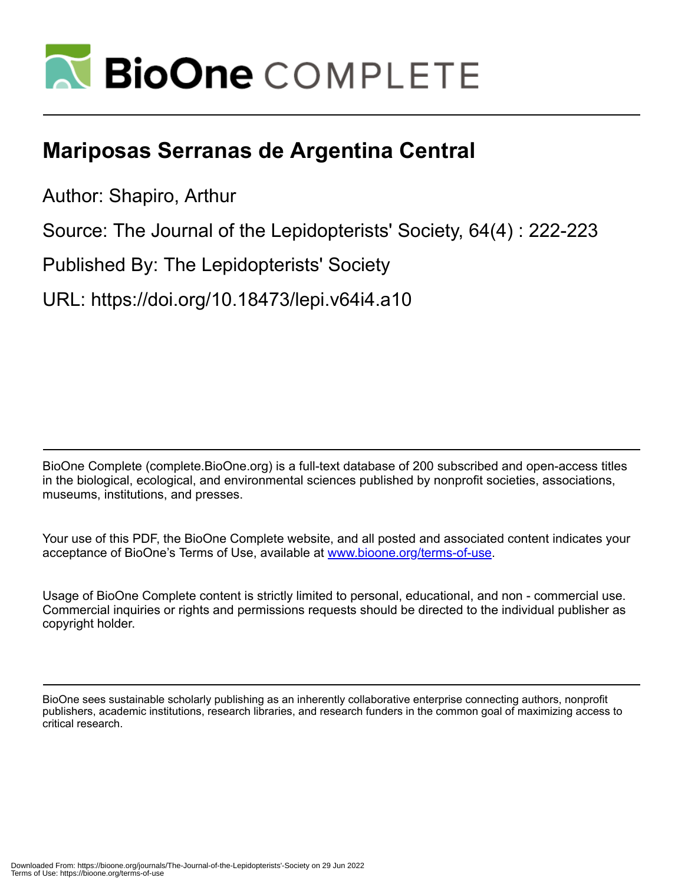

## **Mariposas Serranas de Argentina Central**

Author: Shapiro, Arthur

Source: The Journal of the Lepidopterists' Society, 64(4) : 222-223

Published By: The Lepidopterists' Society

URL: https://doi.org/10.18473/lepi.v64i4.a10

BioOne Complete (complete.BioOne.org) is a full-text database of 200 subscribed and open-access titles in the biological, ecological, and environmental sciences published by nonprofit societies, associations, museums, institutions, and presses.

Your use of this PDF, the BioOne Complete website, and all posted and associated content indicates your acceptance of BioOne's Terms of Use, available at www.bioone.org/terms-of-use.

Usage of BioOne Complete content is strictly limited to personal, educational, and non - commercial use. Commercial inquiries or rights and permissions requests should be directed to the individual publisher as copyright holder.

BioOne sees sustainable scholarly publishing as an inherently collaborative enterprise connecting authors, nonprofit publishers, academic institutions, research libraries, and research funders in the common goal of maximizing access to critical research.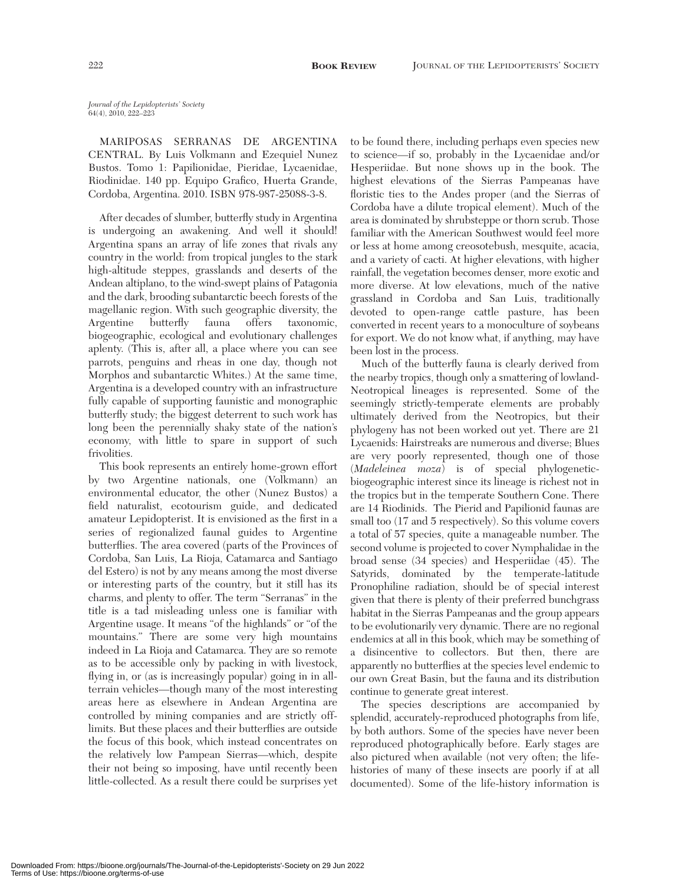*Journal of the Lepidopterists' Society* 64(4), 2010, 222–223

MARIPOSAS SERRANAS DE ARGENTINA CENTRAL. By Luis Volkmann and Ezequiel Nunez Bustos. Tomo 1: Papilionidae, Pieridae, Lycaenidae, Riodinidae. 140 pp. Equipo Grafico, Huerta Grande, Cordoba, Argentina. 2010. ISBN 978-987-25088-3-8.

After decades of slumber, butterfly study in Argentina is undergoing an awakening. And well it should! Argentina spans an array of life zones that rivals any country in the world: from tropical jungles to the stark high-altitude steppes, grasslands and deserts of the Andean altiplano, to the wind-swept plains of Patagonia and the dark, brooding subantarctic beech forests of the magellanic region. With such geographic diversity, the Argentine butterfly fauna offers taxonomic, biogeographic, ecological and evolutionary challenges aplenty. (This is, after all, a place where you can see parrots, penguins and rheas in one day, though not Morphos and subantarctic Whites.) At the same time, Argentina is a developed country with an infrastructure fully capable of supporting faunistic and monographic butterfly study; the biggest deterrent to such work has long been the perennially shaky state of the nation's economy, with little to spare in support of such frivolities.

This book represents an entirely home-grown effort by two Argentine nationals, one (Volkmann) an environmental educator, the other (Nunez Bustos) a field naturalist, ecotourism guide, and dedicated amateur Lepidopterist. It is envisioned as the first in a series of regionalized faunal guides to Argentine butterflies. The area covered (parts of the Provinces of Cordoba, San Luis, La Rioja, Catamarca and Santiago del Estero) is not by any means among the most diverse or interesting parts of the country, but it still has its charms, and plenty to offer. The term "Serranas" in the title is a tad misleading unless one is familiar with Argentine usage. It means "of the highlands" or "of the mountains." There are some very high mountains indeed in La Rioja and Catamarca. They are so remote as to be accessible only by packing in with livestock, flying in, or (as is increasingly popular) going in in allterrain vehicles—though many of the most interesting areas here as elsewhere in Andean Argentina are controlled by mining companies and are strictly offlimits. But these places and their butterflies are outside the focus of this book, which instead concentrates on the relatively low Pampean Sierras—which, despite their not being so imposing, have until recently been little-collected. As a result there could be surprises yet

to be found there, including perhaps even species new to science—if so, probably in the Lycaenidae and/or Hesperiidae. But none shows up in the book. The highest elevations of the Sierras Pampeanas have floristic ties to the Andes proper (and the Sierras of Cordoba have a dilute tropical element). Much of the area is dominated by shrubsteppe or thorn scrub. Those familiar with the American Southwest would feel more or less at home among creosotebush, mesquite, acacia, and a variety of cacti. At higher elevations, with higher rainfall, the vegetation becomes denser, more exotic and more diverse. At low elevations, much of the native grassland in Cordoba and San Luis, traditionally devoted to open-range cattle pasture, has been converted in recent years to a monoculture of soybeans for export. We do not know what, if anything, may have been lost in the process.

Much of the butterfly fauna is clearly derived from the nearby tropics, though only a smattering of lowland-Neotropical lineages is represented. Some of the seemingly strictly-temperate elements are probably ultimately derived from the Neotropics, but their phylogeny has not been worked out yet. There are 21 Lycaenids: Hairstreaks are numerous and diverse; Blues are very poorly represented, though one of those (*Madeleinea moza*) is of special phylogeneticbiogeographic interest since its lineage is richest not in the tropics but in the temperate Southern Cone. There are 14 Riodinids. The Pierid and Papilionid faunas are small too (17 and 5 respectively). So this volume covers a total of 57 species, quite a manageable number. The second volume is projected to cover Nymphalidae in the broad sense (34 species) and Hesperiidae (45). The Satyrids, dominated by the temperate-latitude Pronophiline radiation, should be of special interest given that there is plenty of their preferred bunchgrass habitat in the Sierras Pampeanas and the group appears to be evolutionarily very dynamic. There are no regional endemics at all in this book, which may be something of a disincentive to collectors. But then, there are apparently no butterflies at the species level endemic to our own Great Basin, but the fauna and its distribution continue to generate great interest.

The species descriptions are accompanied by splendid, accurately-reproduced photographs from life, by both authors. Some of the species have never been reproduced photographically before. Early stages are also pictured when available (not very often; the lifehistories of many of these insects are poorly if at all documented). Some of the life-history information is